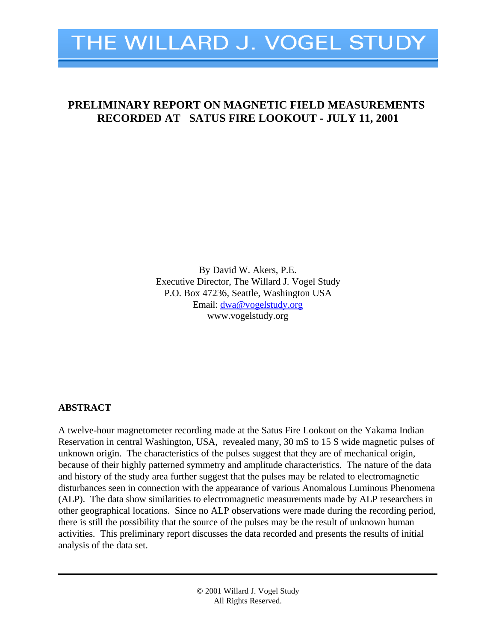

# **PRELIMINARY REPORT ON MAGNETIC FIELD MEASUREMENTS RECORDED AT SATUS FIRE LOOKOUT - JULY 11, 2001**

By David W. Akers, P.E. Executive Director, The Willard J. Vogel Study P.O. Box 47236, Seattle, Washington USA Email: dwa@vogelstudy.org www.vogelstudy.org

# **ABSTRACT**

A twelve-hour magnetometer recording made at the Satus Fire Lookout on the Yakama Indian Reservation in central Washington, USA, revealed many, 30 mS to 15 S wide magnetic pulses of unknown origin. The characteristics of the pulses suggest that they are of mechanical origin, because of their highly patterned symmetry and amplitude characteristics. The nature of the data and history of the study area further suggest that the pulses may be related to electromagnetic disturbances seen in connection with the appearance of various Anomalous Luminous Phenomena (ALP). The data show similarities to electromagnetic measurements made by ALP researchers in other geographical locations. Since no ALP observations were made during the recording period, there is still the possibility that the source of the pulses may be the result of unknown human activities. This preliminary report discusses the data recorded and presents the results of initial analysis of the data set.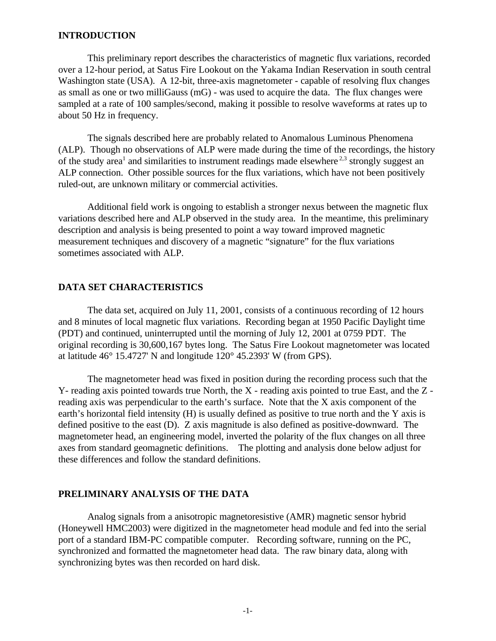#### **INTRODUCTION**

This preliminary report describes the characteristics of magnetic flux variations, recorded over a 12-hour period, at Satus Fire Lookout on the Yakama Indian Reservation in south central Washington state (USA). A 12-bit, three-axis magnetometer - capable of resolving flux changes as small as one or two milliGauss (mG) - was used to acquire the data. The flux changes were sampled at a rate of 100 samples/second, making it possible to resolve waveforms at rates up to about 50 Hz in frequency.

The signals described here are probably related to Anomalous Luminous Phenomena (ALP). Though no observations of ALP were made during the time of the recordings, the history of the study area<sup>1</sup> and similarities to instrument readings made elsewhere<sup>2,3</sup> strongly suggest an ALP connection. Other possible sources for the flux variations, which have not been positively ruled-out, are unknown military or commercial activities.

Additional field work is ongoing to establish a stronger nexus between the magnetic flux variations described here and ALP observed in the study area. In the meantime, this preliminary description and analysis is being presented to point a way toward improved magnetic measurement techniques and discovery of a magnetic "signature" for the flux variations sometimes associated with ALP.

### **DATA SET CHARACTERISTICS**

The data set, acquired on July 11, 2001, consists of a continuous recording of 12 hours and 8 minutes of local magnetic flux variations. Recording began at 1950 Pacific Daylight time (PDT) and continued, uninterrupted until the morning of July 12, 2001 at 0759 PDT. The original recording is 30,600,167 bytes long. The Satus Fire Lookout magnetometer was located at latitude 46° 15.4727' N and longitude 120° 45.2393' W (from GPS).

The magnetometer head was fixed in position during the recording process such that the Y- reading axis pointed towards true North, the X - reading axis pointed to true East, and the Z reading axis was perpendicular to the earth's surface. Note that the X axis component of the earth's horizontal field intensity (H) is usually defined as positive to true north and the Y axis is defined positive to the east (D). Z axis magnitude is also defined as positive-downward. The magnetometer head, an engineering model, inverted the polarity of the flux changes on all three axes from standard geomagnetic definitions. The plotting and analysis done below adjust for these differences and follow the standard definitions.

# **PRELIMINARY ANALYSIS OF THE DATA**

Analog signals from a anisotropic magnetoresistive (AMR) magnetic sensor hybrid (Honeywell HMC2003) were digitized in the magnetometer head module and fed into the serial port of a standard IBM-PC compatible computer. Recording software, running on the PC, synchronized and formatted the magnetometer head data. The raw binary data, along with synchronizing bytes was then recorded on hard disk.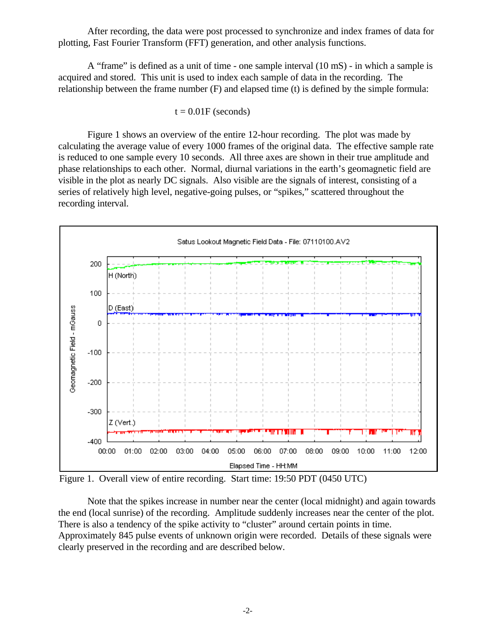After recording, the data were post processed to synchronize and index frames of data for plotting, Fast Fourier Transform (FFT) generation, and other analysis functions.

A "frame" is defined as a unit of time - one sample interval (10 mS) - in which a sample is acquired and stored. This unit is used to index each sample of data in the recording. The relationship between the frame number (F) and elapsed time (t) is defined by the simple formula:

$$
t = 0.01F
$$
 (seconds)

Figure 1 shows an overview of the entire 12-hour recording. The plot was made by calculating the average value of every 1000 frames of the original data. The effective sample rate is reduced to one sample every 10 seconds. All three axes are shown in their true amplitude and phase relationships to each other. Normal, diurnal variations in the earth's geomagnetic field are visible in the plot as nearly DC signals. Also visible are the signals of interest, consisting of a series of relatively high level, negative-going pulses, or "spikes," scattered throughout the recording interval.



Figure 1. Overall view of entire recording. Start time: 19:50 PDT (0450 UTC)

Note that the spikes increase in number near the center (local midnight) and again towards the end (local sunrise) of the recording. Amplitude suddenly increases near the center of the plot. There is also a tendency of the spike activity to "cluster" around certain points in time. Approximately 845 pulse events of unknown origin were recorded. Details of these signals were clearly preserved in the recording and are described below.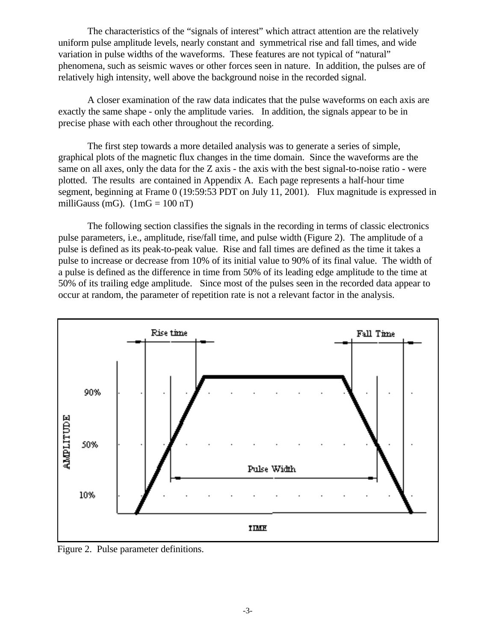The characteristics of the "signals of interest" which attract attention are the relatively uniform pulse amplitude levels, nearly constant and symmetrical rise and fall times, and wide variation in pulse widths of the waveforms. These features are not typical of "natural" phenomena, such as seismic waves or other forces seen in nature. In addition, the pulses are of relatively high intensity, well above the background noise in the recorded signal.

A closer examination of the raw data indicates that the pulse waveforms on each axis are exactly the same shape - only the amplitude varies. In addition, the signals appear to be in precise phase with each other throughout the recording.

The first step towards a more detailed analysis was to generate a series of simple, graphical plots of the magnetic flux changes in the time domain. Since the waveforms are the same on all axes, only the data for the Z axis - the axis with the best signal-to-noise ratio - were plotted. The results are contained in Appendix A. Each page represents a half-hour time segment, beginning at Frame 0 (19:59:53 PDT on July 11, 2001). Flux magnitude is expressed in milliGauss (mG).  $(1 \text{ mG} = 100 \text{ nT})$ 

The following section classifies the signals in the recording in terms of classic electronics pulse parameters, i.e., amplitude, rise/fall time, and pulse width (Figure 2). The amplitude of a pulse is defined as its peak-to-peak value. Rise and fall times are defined as the time it takes a pulse to increase or decrease from 10% of its initial value to 90% of its final value. The width of a pulse is defined as the difference in time from 50% of its leading edge amplitude to the time at 50% of its trailing edge amplitude. Since most of the pulses seen in the recorded data appear to occur at random, the parameter of repetition rate is not a relevant factor in the analysis.



Figure 2. Pulse parameter definitions.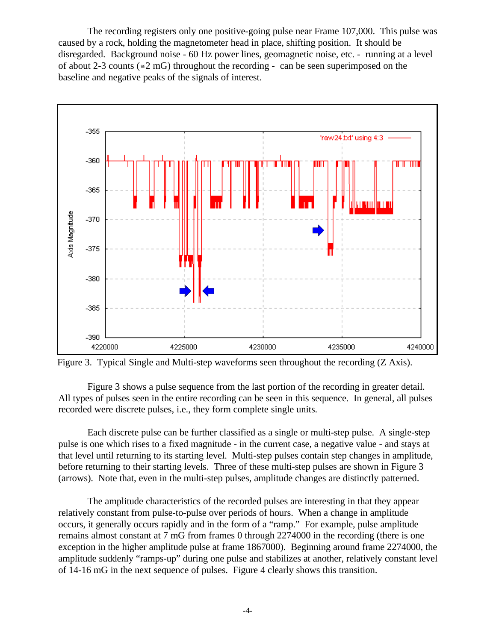The recording registers only one positive-going pulse near Frame 107,000. This pulse was caused by a rock, holding the magnetometer head in place, shifting position. It should be disregarded. Background noise - 60 Hz power lines, geomagnetic noise, etc. - running at a level of about 2-3 counts ( $\approx$  2 mG) throughout the recording - can be seen superimposed on the baseline and negative peaks of the signals of interest.



Figure 3. Typical Single and Multi-step waveforms seen throughout the recording (Z Axis).

Figure 3 shows a pulse sequence from the last portion of the recording in greater detail. All types of pulses seen in the entire recording can be seen in this sequence. In general, all pulses recorded were discrete pulses, i.e., they form complete single units.

Each discrete pulse can be further classified as a single or multi-step pulse. A single-step pulse is one which rises to a fixed magnitude - in the current case, a negative value - and stays at that level until returning to its starting level. Multi-step pulses contain step changes in amplitude, before returning to their starting levels. Three of these multi-step pulses are shown in Figure 3 (arrows). Note that, even in the multi-step pulses, amplitude changes are distinctly patterned.

The amplitude characteristics of the recorded pulses are interesting in that they appear relatively constant from pulse-to-pulse over periods of hours. When a change in amplitude occurs, it generally occurs rapidly and in the form of a "ramp." For example, pulse amplitude remains almost constant at 7 mG from frames 0 through 2274000 in the recording (there is one exception in the higher amplitude pulse at frame 1867000). Beginning around frame 2274000, the amplitude suddenly "ramps-up" during one pulse and stabilizes at another, relatively constant level of 14-16 mG in the next sequence of pulses. Figure 4 clearly shows this transition.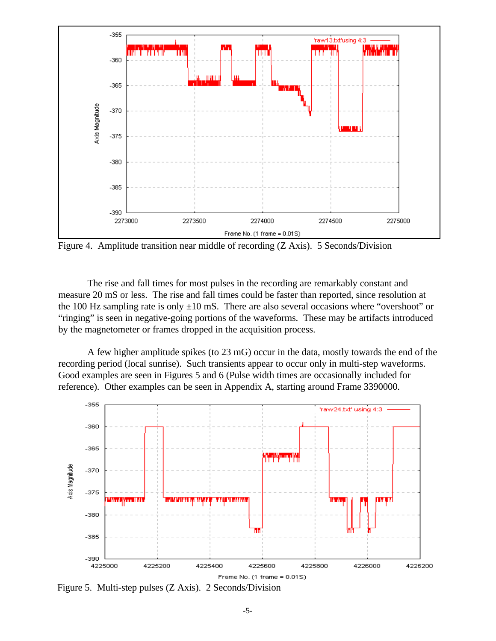

Figure 4. Amplitude transition near middle of recording (Z Axis). 5 Seconds/Division

The rise and fall times for most pulses in the recording are remarkably constant and measure 20 mS or less. The rise and fall times could be faster than reported, since resolution at the 100 Hz sampling rate is only  $\pm 10$  mS. There are also several occasions where "overshoot" or "ringing" is seen in negative-going portions of the waveforms. These may be artifacts introduced by the magnetometer or frames dropped in the acquisition process.

A few higher amplitude spikes (to 23 mG) occur in the data, mostly towards the end of the recording period (local sunrise). Such transients appear to occur only in multi-step waveforms. Good examples are seen in Figures 5 and 6 (Pulse width times are occasionally included for reference). Other examples can be seen in Appendix A, starting around Frame 3390000.



Figure 5. Multi-step pulses (Z Axis). 2 Seconds/Division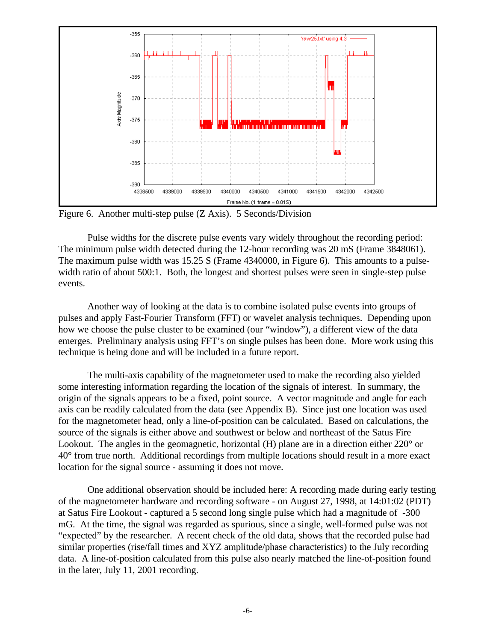

Figure 6. Another multi-step pulse (Z Axis). 5 Seconds/Division

Pulse widths for the discrete pulse events vary widely throughout the recording period: The minimum pulse width detected during the 12-hour recording was 20 mS (Frame 3848061). The maximum pulse width was 15.25 S (Frame 4340000, in Figure 6). This amounts to a pulsewidth ratio of about 500:1. Both, the longest and shortest pulses were seen in single-step pulse events.

Another way of looking at the data is to combine isolated pulse events into groups of pulses and apply Fast-Fourier Transform (FFT) or wavelet analysis techniques. Depending upon how we choose the pulse cluster to be examined (our "window"), a different view of the data emerges. Preliminary analysis using FFT's on single pulses has been done. More work using this technique is being done and will be included in a future report.

The multi-axis capability of the magnetometer used to make the recording also yielded some interesting information regarding the location of the signals of interest. In summary, the origin of the signals appears to be a fixed, point source. A vector magnitude and angle for each axis can be readily calculated from the data (see Appendix B). Since just one location was used for the magnetometer head, only a line-of-position can be calculated. Based on calculations, the source of the signals is either above and southwest or below and northeast of the Satus Fire Lookout. The angles in the geomagnetic, horizontal (H) plane are in a direction either 220° or 40° from true north. Additional recordings from multiple locations should result in a more exact location for the signal source - assuming it does not move.

One additional observation should be included here: A recording made during early testing of the magnetometer hardware and recording software - on August 27, 1998, at 14:01:02 (PDT) at Satus Fire Lookout - captured a 5 second long single pulse which had a magnitude of -300 mG. At the time, the signal was regarded as spurious, since a single, well-formed pulse was not "expected" by the researcher. A recent check of the old data, shows that the recorded pulse had similar properties (rise/fall times and XYZ amplitude/phase characteristics) to the July recording data. A line-of-position calculated from this pulse also nearly matched the line-of-position found in the later, July 11, 2001 recording.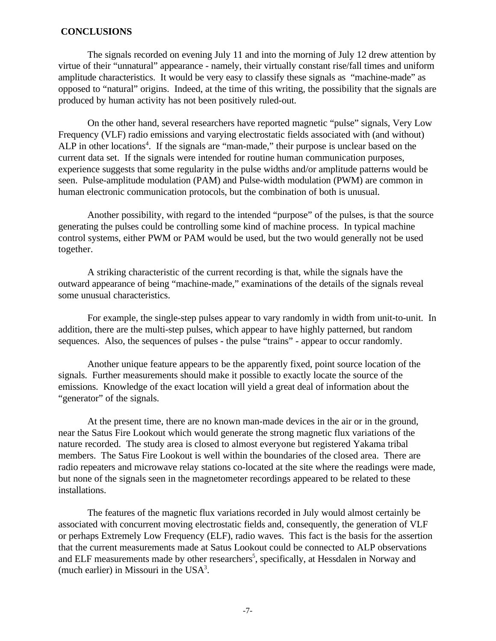### **CONCLUSIONS**

The signals recorded on evening July 11 and into the morning of July 12 drew attention by virtue of their "unnatural" appearance - namely, their virtually constant rise/fall times and uniform amplitude characteristics. It would be very easy to classify these signals as "machine-made" as opposed to "natural" origins. Indeed, at the time of this writing, the possibility that the signals are produced by human activity has not been positively ruled-out.

On the other hand, several researchers have reported magnetic "pulse" signals, Very Low Frequency (VLF) radio emissions and varying electrostatic fields associated with (and without) ALP in other locations<sup>4</sup>. If the signals are "man-made," their purpose is unclear based on the current data set. If the signals were intended for routine human communication purposes, experience suggests that some regularity in the pulse widths and/or amplitude patterns would be seen. Pulse-amplitude modulation (PAM) and Pulse-width modulation (PWM) are common in human electronic communication protocols, but the combination of both is unusual.

Another possibility, with regard to the intended "purpose" of the pulses, is that the source generating the pulses could be controlling some kind of machine process. In typical machine control systems, either PWM or PAM would be used, but the two would generally not be used together.

A striking characteristic of the current recording is that, while the signals have the outward appearance of being "machine-made," examinations of the details of the signals reveal some unusual characteristics.

For example, the single-step pulses appear to vary randomly in width from unit-to-unit. In addition, there are the multi-step pulses, which appear to have highly patterned, but random sequences. Also, the sequences of pulses - the pulse "trains" - appear to occur randomly.

Another unique feature appears to be the apparently fixed, point source location of the signals. Further measurements should make it possible to exactly locate the source of the emissions. Knowledge of the exact location will yield a great deal of information about the "generator" of the signals.

At the present time, there are no known man-made devices in the air or in the ground, near the Satus Fire Lookout which would generate the strong magnetic flux variations of the nature recorded. The study area is closed to almost everyone but registered Yakama tribal members. The Satus Fire Lookout is well within the boundaries of the closed area. There are radio repeaters and microwave relay stations co-located at the site where the readings were made, but none of the signals seen in the magnetometer recordings appeared to be related to these installations.

The features of the magnetic flux variations recorded in July would almost certainly be associated with concurrent moving electrostatic fields and, consequently, the generation of VLF or perhaps Extremely Low Frequency (ELF), radio waves. This fact is the basis for the assertion that the current measurements made at Satus Lookout could be connected to ALP observations and ELF measurements made by other researchers<sup>5</sup>, specifically, at Hessdalen in Norway and (much earlier) in Missouri in the  $USA^3$ .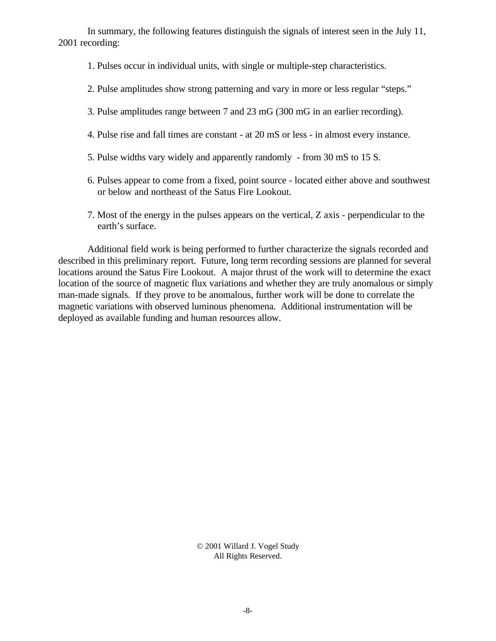In summary, the following features distinguish the signals of interest seen in the July 11, 2001 recording:

- 1. Pulses occur in individual units, with single or multiple-step characteristics.
- 2. Pulse amplitudes show strong patterning and vary in more or less regular "steps."
- 3. Pulse amplitudes range between 7 and 23 mG (300 mG in an earlier recording).
- 4. Pulse rise and fall times are constant at 20 mS or less in almost every instance.
- 5. Pulse widths vary widely and apparently randomly from 30 mS to 15 S.
- 6. Pulses appear to come from a fixed, point source located either above and southwest or below and northeast of the Satus Fire Lookout.
- 7. Most of the energy in the pulses appears on the vertical, Z axis perpendicular to the earth's surface.

Additional field work is being performed to further characterize the signals recorded and described in this preliminary report. Future, long term recording sessions are planned for several locations around the Satus Fire Lookout. A major thrust of the work will to determine the exact location of the source of magnetic flux variations and whether they are truly anomalous or simply man-made signals. If they prove to be anomalous, further work will be done to correlate the magnetic variations with observed luminous phenomena. Additional instrumentation will be deployed as available funding and human resources allow.

> © 2001 Willard J. Vogel Study All Rights Reserved.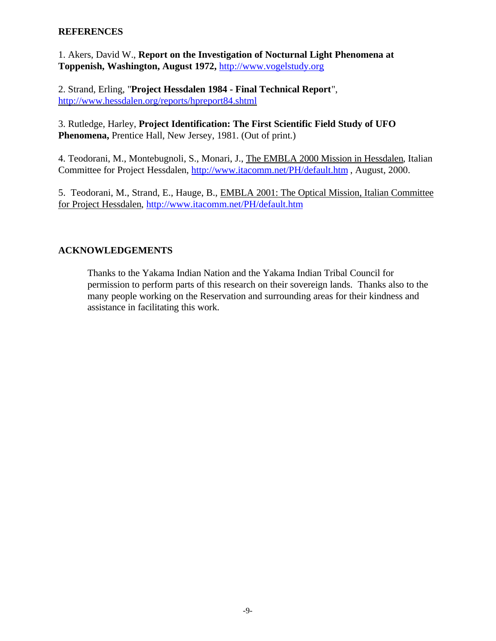# **REFERENCES**

1. Akers, David W., **Report on the Investigation of Nocturnal Light Phenomena at Toppenish, Washington, August 1972,** http://www.vogelstudy.org

2. Strand, Erling, "**Project Hessdalen 1984 - Final Technical Report**", http://www.hessdalen.org/reports/hpreport84.shtml

3. Rutledge, Harley, **Project Identification: The First Scientific Field Study of UFO Phenomena,** Prentice Hall, New Jersey, 1981. (Out of print.)

4. Teodorani, M., Montebugnoli, S., Monari, J., The EMBLA 2000 Mission in Hessdalen, Italian Committee for Project Hessdalen, http://www.itacomm.net/PH/default.htm , August, 2000.

5. Teodorani, M., Strand, E., Hauge, B., EMBLA 2001: The Optical Mission, Italian Committee for Project Hessdalen, http://www.itacomm.net/PH/default.htm

# **ACKNOWLEDGEMENTS**

Thanks to the Yakama Indian Nation and the Yakama Indian Tribal Council for permission to perform parts of this research on their sovereign lands. Thanks also to the many people working on the Reservation and surrounding areas for their kindness and assistance in facilitating this work.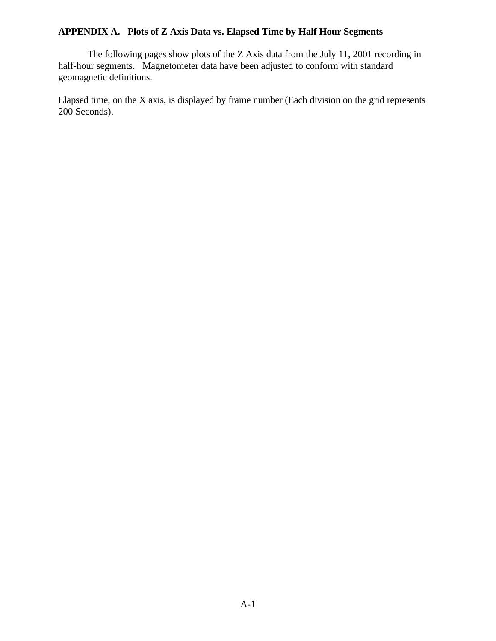# **APPENDIX A. Plots of Z Axis Data vs. Elapsed Time by Half Hour Segments**

The following pages show plots of the Z Axis data from the July 11, 2001 recording in half-hour segments. Magnetometer data have been adjusted to conform with standard geomagnetic definitions.

Elapsed time, on the X axis, is displayed by frame number (Each division on the grid represents 200 Seconds).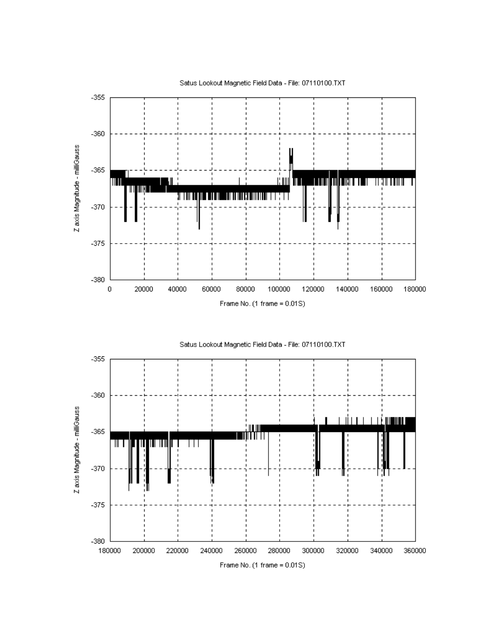



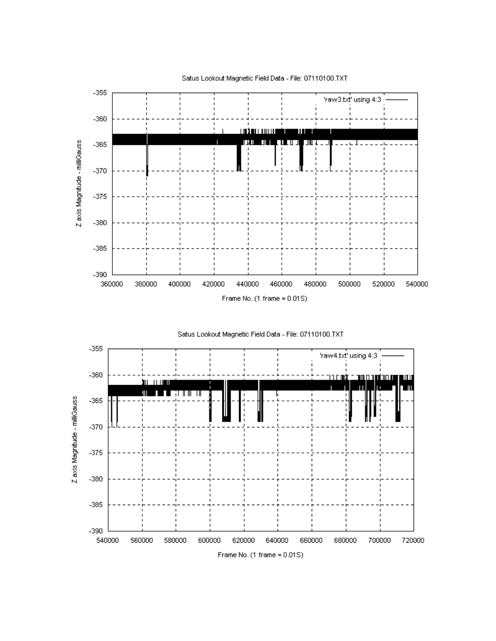





Satus Lookout Magnetic Field Data - File: 07110100.TXT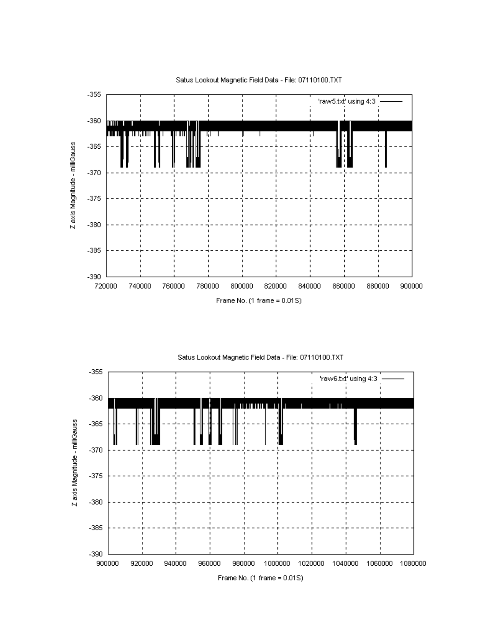



Satus Lookout Magnetic Field Data - File: 07110100.TXT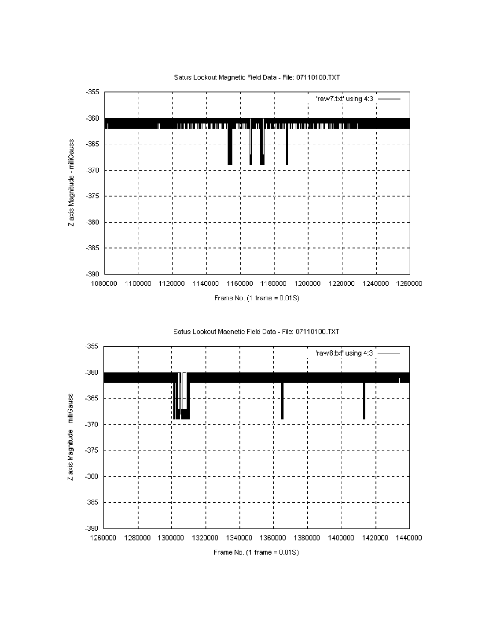





Satus Lookout Magnetic Field Data - File: 07110100.TXT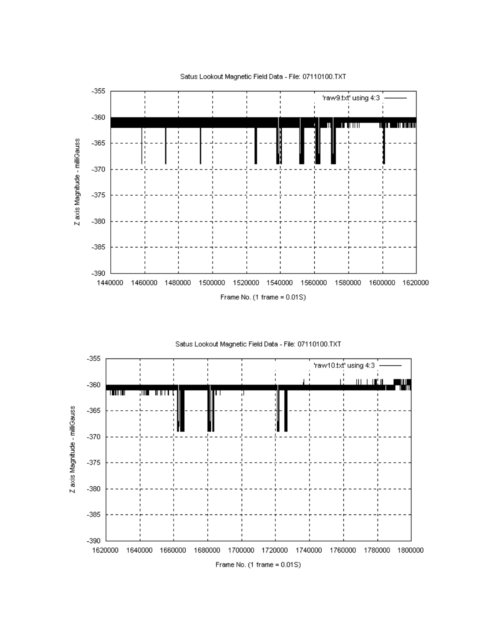



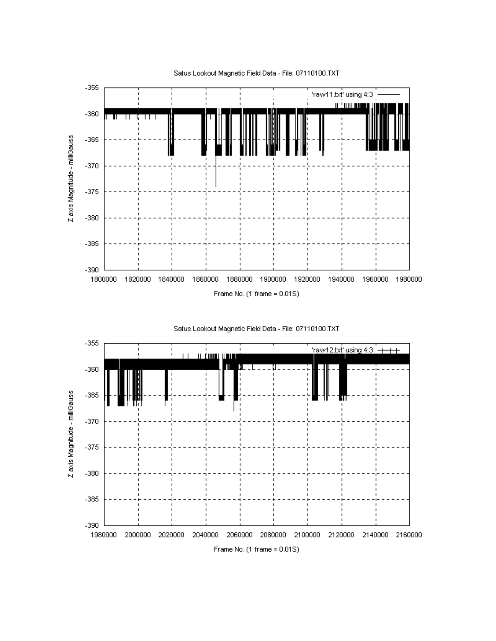



Satus Lookout Magnetic Field Data - File: 07110100.TXT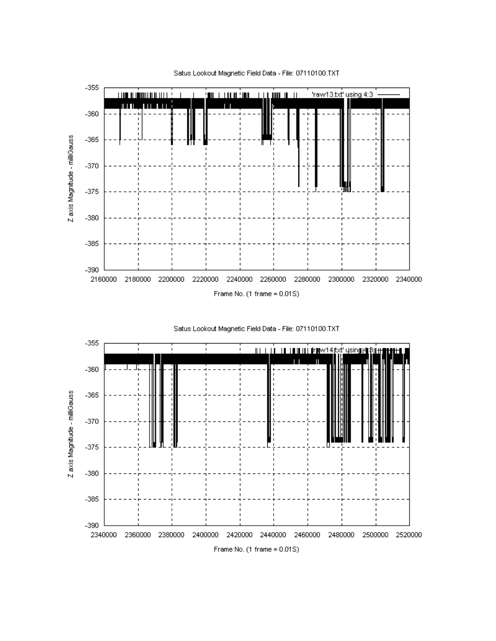

Satus Lookout Magnetic Field Data - File: 07110100.TXT



Z axis Magnitude - milliGauss

 $-390$ 

2340000

2360000 2380000 2400000 2420000 2440000 2460000 2480000 2500000 2520000

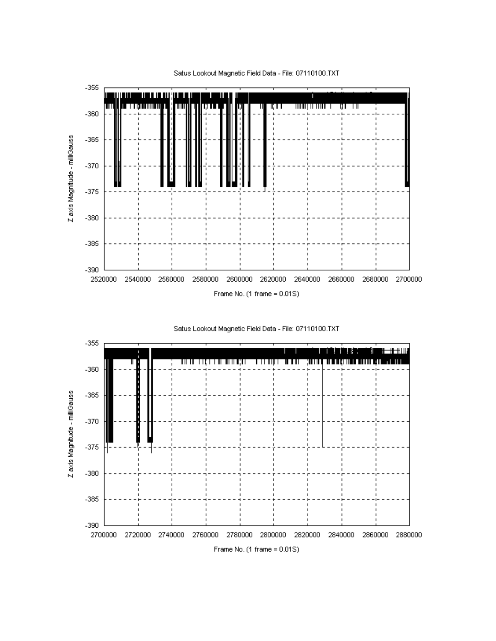



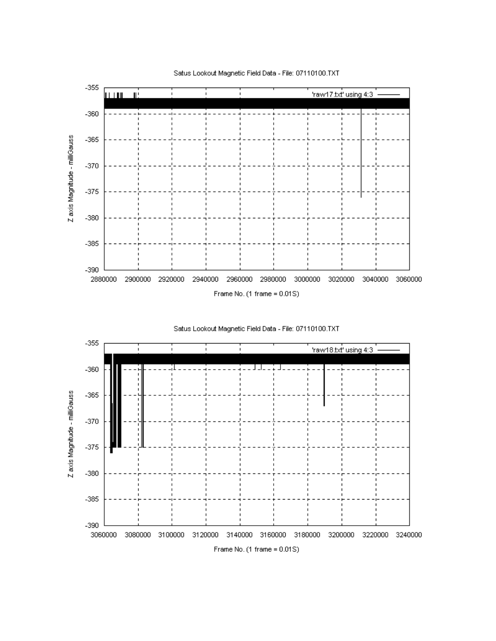



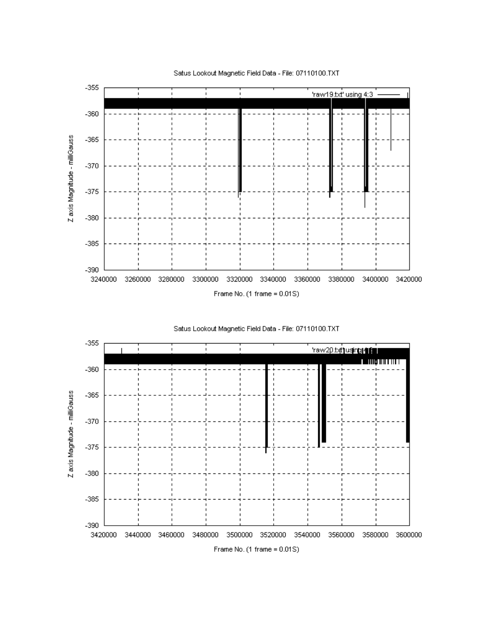



Satus Lookout Magnetic Field Data - File: 07110100.TXT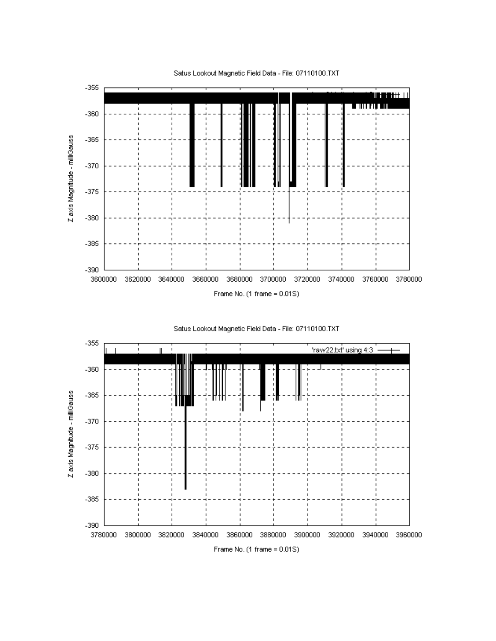





Satus Lookout Magnetic Field Data - File: 07110100.TXT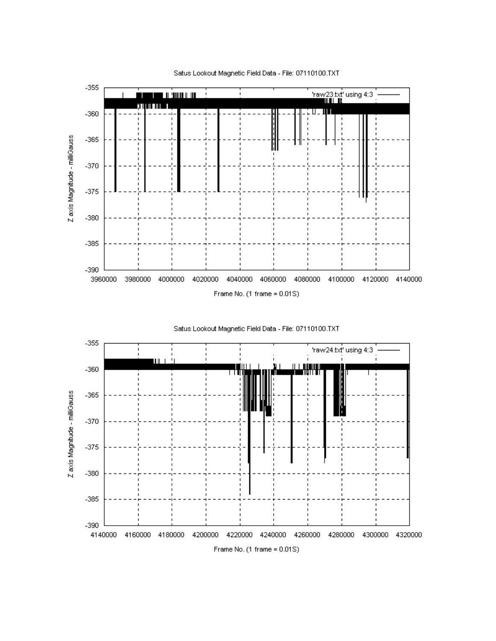



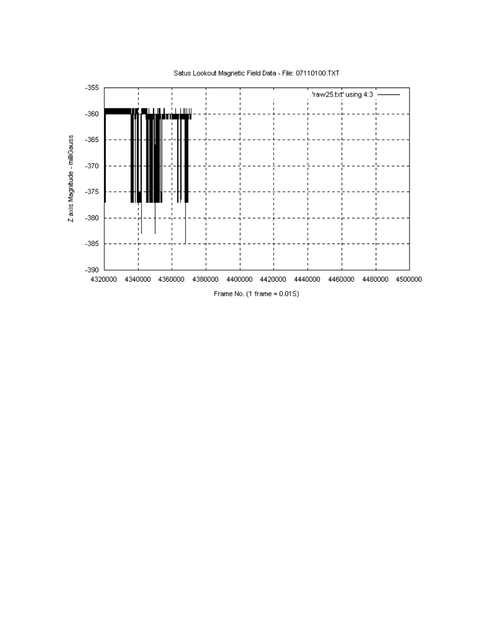